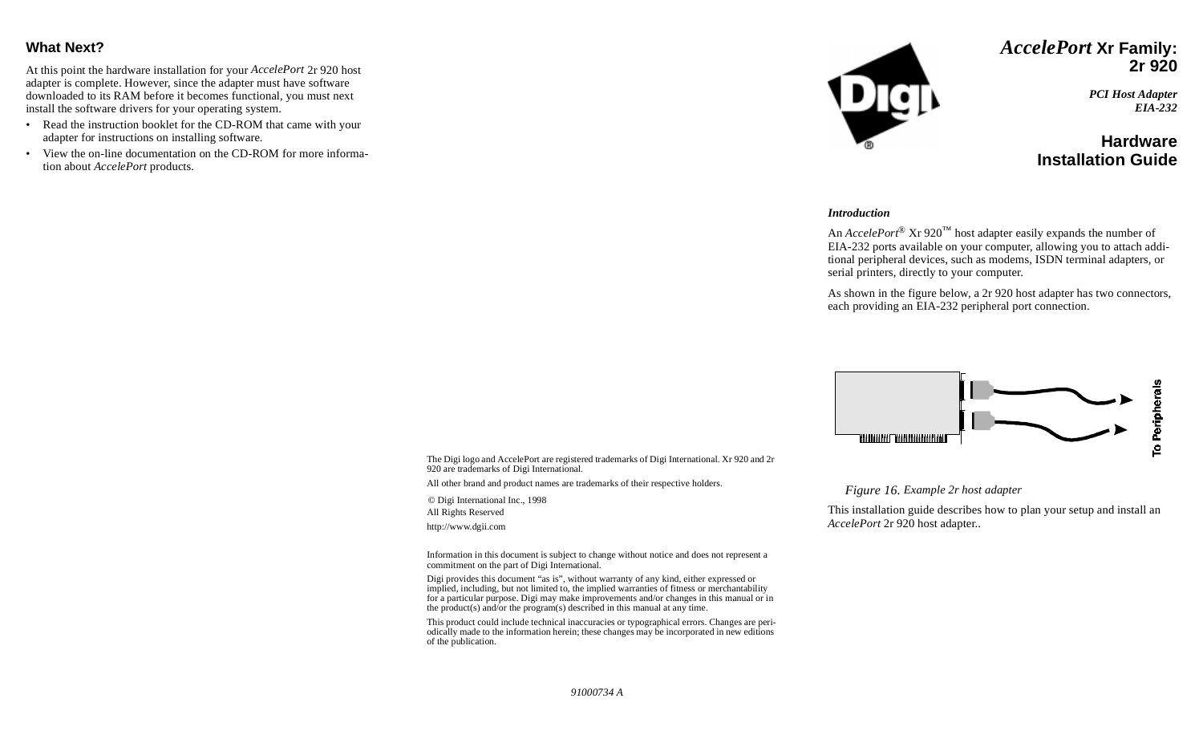## **What Next?**

At this point the hardware installation for your *AccelePort* 2r 920 host adapter is complete. However, since the adapter must have software downloaded to its RAM before it becomes functional, you must next install the software drivers for your operating system.

- Read the instruction booklet for the CD-ROM that came with your adapter for instructions on installing software.
- View the on-line documentation on the CD-ROM for more information about *AccelePort* products.



*AccelePort* **Xr Family: 2r 920**

> *PCI Host Adapter EIA-232*

## **HardwareInstallation Guide**

#### *Introduction*

An *AccelePort*® Xr 920™ host adapter easily expands the number of EIA-232 ports available on your computer, allowing you to attach additional peripheral devices, such as modems, ISDN terminal adapters, or serial printers, directly to your computer.

As shown in the figure below, a 2r 920 host adapter has two connectors, each providing an EIA-232 peripheral port connection.



The Digi logo and AccelePort are registered trademarks of Digi International. Xr 920 and 2r 920 are trademarks of Digi International.

All other brand and product names are trademarks of their respective holders.

© Digi International Inc., 1998 All Rights Reserved

http://www.dgii.com

Information in this document is subject to change without notice and does not represent a commitment on the part of Digi International.

Digi provides this document "as is", without warranty of any kind, either expressed or implied, including, but not limited to, the implied warranties of fitness or merchantability for a particular purpose. Digi may make improvements and/or changes in this manual or in the product(s) and/or the program(s) described in this manual at any time.

This product could include technical inaccuracies or typographical errors. Changes are periodically made to the information herein; these changes may be incorporated in new editions of the publication.

*Figure 16. Example 2r host adapter* 

This installation guide describes how to plan your setup and install an *AccelePort* 2r 920 host adapter..